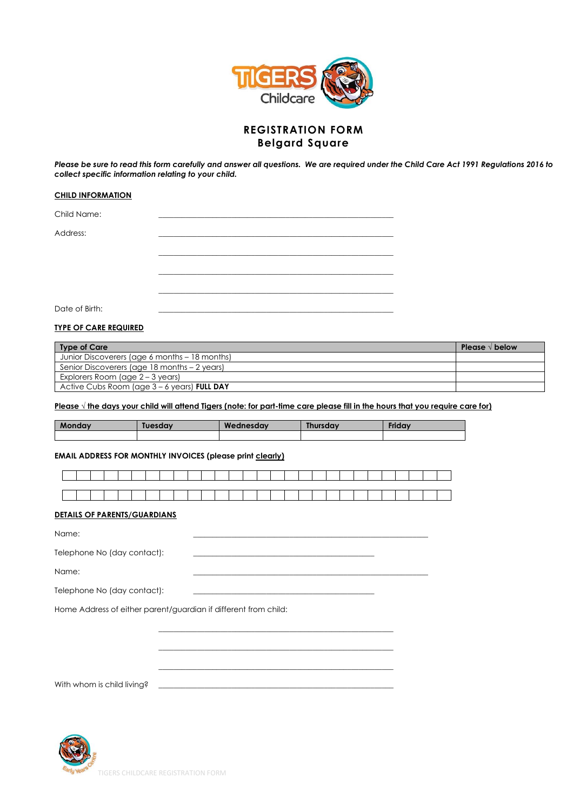

# **REGISTRATION FORM Belgard Square**

*Please be sure to read this form carefully and answer all questions. We are required under the Child Care Act 1991 Regulations 2016 to collect specific information relating to your child.* 

## **CHILD INFORMATION**

Child Name:

Address: \_\_\_\_\_\_\_\_\_\_\_\_\_\_\_\_\_\_\_\_\_\_\_\_\_\_\_\_\_\_\_\_\_\_\_\_\_\_\_\_\_\_\_\_\_\_\_\_\_\_\_\_\_\_\_\_\_\_\_\_\_

Date of Birth:

## **TYPE OF CARE REQUIRED**

| Type of Care                                  | Please $\sqrt{ }$ below |
|-----------------------------------------------|-------------------------|
| Junior Discoverers (age 6 months – 18 months) |                         |
| Senior Discoverers (age 18 months – 2 years)  |                         |
| Explorers Room (age $2 - 3$ years)            |                         |
| Active Cubs Room (age $3 - 6$ years) FULL DAY |                         |

## **Please √ the days your child will attend Tigers (note: for part-time care please fill in the hours that you require care for)**

\_\_\_\_\_\_\_\_\_\_\_\_\_\_\_\_\_\_\_\_\_\_\_\_\_\_\_\_\_\_\_\_\_\_\_\_\_\_\_\_\_\_\_\_\_\_\_\_\_\_\_\_\_\_\_\_\_\_\_\_\_ \_\_\_\_\_\_\_\_\_\_\_\_\_\_\_\_\_\_\_\_\_\_\_\_\_\_\_\_\_\_\_\_\_\_\_\_\_\_\_\_\_\_\_\_\_\_\_\_\_\_\_\_\_\_\_\_\_\_\_\_\_ \_\_\_\_\_\_\_\_\_\_\_\_\_\_\_\_\_\_\_\_\_\_\_\_\_\_\_\_\_\_\_\_\_\_\_\_\_\_\_\_\_\_\_\_\_\_\_\_\_\_\_\_\_\_\_\_\_\_\_\_\_

| Mondav | Tuesdav | Wednesday | <b>Thursday</b> | <b>Friday</b> |
|--------|---------|-----------|-----------------|---------------|
|        |         |           |                 |               |

## **EMAIL ADDRESS FOR MONTHLY INVOICES (please print clearly)**

## **DETAILS OF PARENTS/GUARDIANS**

Name: \_\_\_\_\_\_\_\_\_\_\_\_\_\_\_\_\_\_\_\_\_\_\_\_\_\_\_\_\_\_\_\_\_\_\_\_\_\_\_\_\_\_\_\_\_\_\_\_\_\_\_\_\_\_\_\_\_\_\_\_\_ Telephone No (day contact): Name: \_\_\_\_\_\_\_\_\_\_\_\_\_\_\_\_\_\_\_\_\_\_\_\_\_\_\_\_\_\_\_\_\_\_\_\_\_\_\_\_\_\_\_\_\_\_\_\_\_\_\_\_\_\_\_\_\_\_\_\_\_

> \_\_\_\_\_\_\_\_\_\_\_\_\_\_\_\_\_\_\_\_\_\_\_\_\_\_\_\_\_\_\_\_\_\_\_\_\_\_\_\_\_\_\_\_\_\_\_\_\_\_\_\_\_\_\_\_\_\_\_\_\_ \_\_\_\_\_\_\_\_\_\_\_\_\_\_\_\_\_\_\_\_\_\_\_\_\_\_\_\_\_\_\_\_\_\_\_\_\_\_\_\_\_\_\_\_\_\_\_\_\_\_\_\_\_\_\_\_\_\_\_\_\_ \_\_\_\_\_\_\_\_\_\_\_\_\_\_\_\_\_\_\_\_\_\_\_\_\_\_\_\_\_\_\_\_\_\_\_\_\_\_\_\_\_\_\_\_\_\_\_\_\_\_\_\_\_\_\_\_\_\_\_\_\_

| Telephone No (day contact): |  |
|-----------------------------|--|
|                             |  |

Home Address of either parent/guardian if different from child:

With whom is child living?

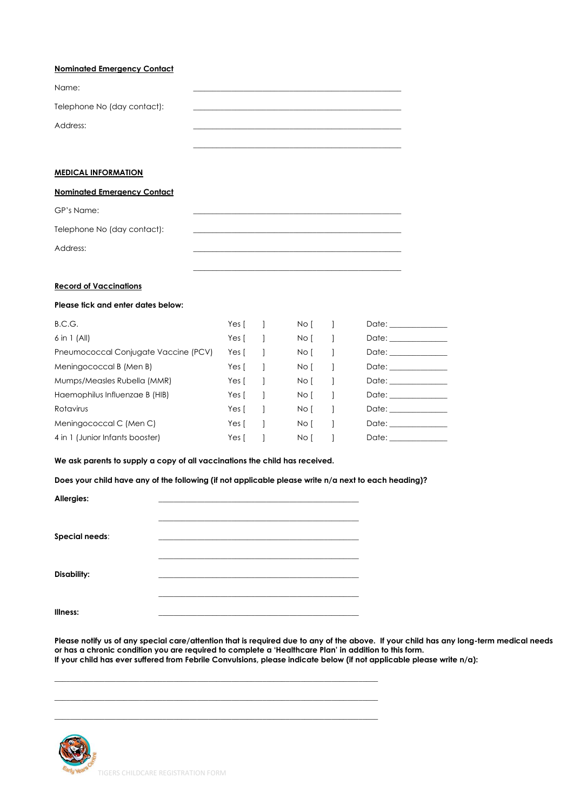| <b>Nominated Emergency Contact</b>                                                                   |       |              |      |              |                                                                                                                                                                                                                                |
|------------------------------------------------------------------------------------------------------|-------|--------------|------|--------------|--------------------------------------------------------------------------------------------------------------------------------------------------------------------------------------------------------------------------------|
| Name:                                                                                                |       |              |      |              |                                                                                                                                                                                                                                |
| Telephone No (day contact):                                                                          |       |              |      |              |                                                                                                                                                                                                                                |
| Address:                                                                                             |       |              |      |              |                                                                                                                                                                                                                                |
| <b>MEDICAL INFORMATION</b>                                                                           |       |              |      |              |                                                                                                                                                                                                                                |
| <b>Nominated Emergency Contact</b>                                                                   |       |              |      |              |                                                                                                                                                                                                                                |
| GP's Name:                                                                                           |       |              |      |              |                                                                                                                                                                                                                                |
| Telephone No (day contact):                                                                          |       |              |      |              |                                                                                                                                                                                                                                |
| Address:                                                                                             |       |              |      |              |                                                                                                                                                                                                                                |
|                                                                                                      |       |              |      |              |                                                                                                                                                                                                                                |
| <b>Record of Vaccinations</b>                                                                        |       |              |      |              |                                                                                                                                                                                                                                |
| Please tick and enter dates below:                                                                   |       |              |      |              |                                                                                                                                                                                                                                |
| B.C.G.                                                                                               | Yes [ | $\perp$      | No [ | -1           |                                                                                                                                                                                                                                |
| $6$ in 1 (All)                                                                                       | Yes [ | $\mathbf{1}$ | No [ | $\mathbf{1}$ |                                                                                                                                                                                                                                |
| Pneumococcal Conjugate Vaccine (PCV)                                                                 | Yes [ | 1            | No [ | -1           |                                                                                                                                                                                                                                |
| Meningococcal B (Men B)                                                                              | Yes [ | 1            | No [ | -1           | Date: the contract of the contract of the contract of the contract of the contract of the contract of the contract of the contract of the contract of the contract of the contract of the contract of the contract of the cont |
| Mumps/Measles Rubella (MMR)                                                                          | Yes [ | $\mathbf{1}$ | No [ | -1           |                                                                                                                                                                                                                                |
| Haemophilus Influenzae B (HIB)                                                                       | Yes [ | 1            | No [ | -1           | Date: the contract of the contract of the contract of the contract of the contract of the contract of the contract of the contract of the contract of the contract of the contract of the contract of the contract of the cont |
| Rotavirus                                                                                            | Yes [ | -1           | No [ | -1           |                                                                                                                                                                                                                                |
| Meningococcal C (Men C)                                                                              | Yes [ | 1            | No [ | $\mathbf{1}$ | Date: ______________                                                                                                                                                                                                           |
| 4 in 1 (Junior Infants booster)                                                                      | Yes [ | 1            | No [ | 1            | Date: the contract of the contract of the contract of the contract of the contract of the contract of the contract of the contract of the contract of the contract of the contract of the contract of the contract of the cont |
| We ask parents to supply a copy of all vaccinations the child has received.                          |       |              |      |              |                                                                                                                                                                                                                                |
| Does your child have any of the following (if not applicable please write n/a next to each heading)? |       |              |      |              |                                                                                                                                                                                                                                |
| Allergies:                                                                                           |       |              |      |              |                                                                                                                                                                                                                                |

| <b>Special needs:</b> |  |
|-----------------------|--|
|                       |  |
| <b>Disability:</b>    |  |
|                       |  |
| Illness:              |  |
|                       |  |

 $\_$  ,  $\_$  ,  $\_$  ,  $\_$  ,  $\_$  ,  $\_$  ,  $\_$  ,  $\_$  ,  $\_$  ,  $\_$  ,  $\_$  ,  $\_$  ,  $\_$  ,  $\_$  ,  $\_$  ,  $\_$  ,  $\_$  ,  $\_$  ,  $\_$  ,  $\_$  ,  $\_$  ,  $\_$  ,  $\_$  ,  $\_$  ,  $\_$  ,  $\_$  ,  $\_$  ,  $\_$  ,  $\_$  ,  $\_$  ,  $\_$  ,  $\_$  ,  $\_$  ,  $\_$  ,  $\_$  ,  $\_$  ,  $\_$  ,  $\_$  ,  $\_$  ,  $\_$  ,  $\_$  ,  $\_$  ,  $\_$  ,  $\_$  ,  $\_$  ,  $\_$  ,  $\_$  ,  $\_$  ,  $\_$  ,  $\_$  ,  $\_$  ,  $\_$  ,  $\_$  ,  $\_$  ,  $\_$  ,  $\_$  ,  $\_$  ,  $\_$  ,  $\_$  ,  $\_$  ,  $\_$  ,  $\_$  ,  $\_$  ,  $\_$  ,  $\_$  ,  $\_$  ,  $\_$  ,  $\_$  ,  $\_$  ,  $\_$  ,  $\_$  ,  $\_$  ,  $\_$  ,  $\_$  ,  $\_$  ,  $\_$  ,  $\_$  ,  $\_$  ,  $\_$  ,  $\_$  ,  $\_$  ,  $\_$  ,  $\_$  ,  $\_$  ,  $\_$  ,  $\_$  ,  $\_$  ,  $\_$  ,  $\_$  ,  $\_$  ,  $\_$  ,  $\_$  ,  $\_$  ,  $\_$  ,  $\_$  ,  $\_$  ,  $\_$  ,  $\_$  ,  $\_$  ,  $\_$  ,  $\_$  ,  $\_$  ,  $\_$  ,  $\_$  ,  $\_$  ,  $\_$  ,  $\_$  ,  $\_$  ,  $\_$  ,  $\_$  ,  $\_$  ,

**Please notify us of any special care/attention that is required due to any of the above. If your child has any long-term medical needs or has a chronic condition you are required to complete a 'Healthcare Plan' in addition to this form. If your child has ever suffered from Febrile Convulsions, please indicate below (if not applicable please write n/a):**

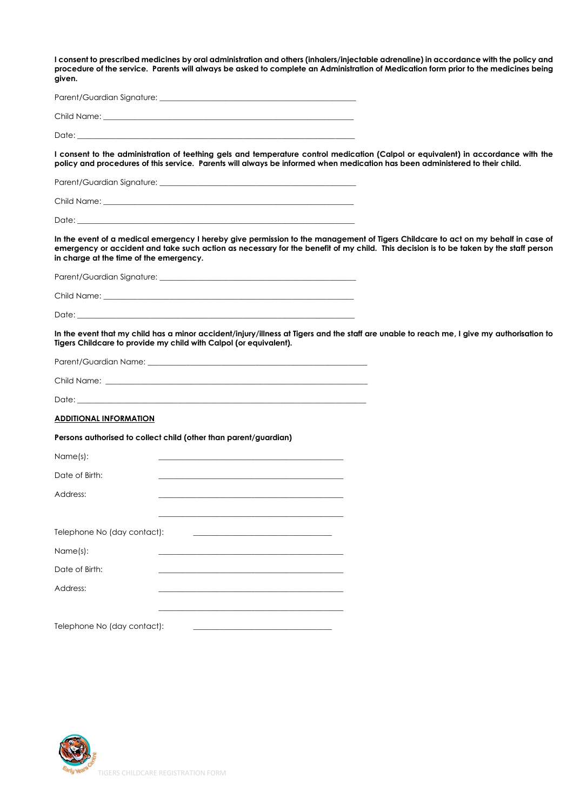**I consent to prescribed medicines by oral administration and others (inhalers/injectable adrenaline) in accordance with the policy and procedure of the service. Parents will always be asked to complete an Administration of Medication form prior to the medicines being given.** 

| Parent/Guardian Signature: |  |  |
|----------------------------|--|--|
| Child Name:                |  |  |

Date: \_\_\_\_\_\_\_\_\_\_\_\_\_\_\_\_\_\_\_\_\_\_\_\_\_\_\_\_\_\_\_\_\_\_\_\_\_\_\_\_\_\_\_\_\_\_\_\_\_\_\_\_\_\_\_\_\_\_\_\_\_\_\_\_\_\_\_\_\_\_\_\_

**I consent to the administration of teething gels and temperature control medication (Calpol or equivalent) in accordance with the policy and procedures of this service. Parents will always be informed when medication has been administered to their child.** 

| Parent/Guardian Signature: |  |
|----------------------------|--|
| Child Name:                |  |

Date: $\__$ 

**In the event of a medical emergency I hereby give permission to the management of Tigers Childcare to act on my behalf in case of emergency or accident and take such action as necessary for the benefit of my child. This decision is to be taken by the staff person in charge at the time of the emergency.** 

| Parent/Guardian Signature: |
|----------------------------|
| Child Name:                |

Date: \_\_\_\_\_\_\_\_\_\_\_\_\_\_\_\_\_\_\_\_\_\_\_\_\_\_\_\_\_\_\_\_\_\_\_\_\_\_\_\_\_\_\_\_\_\_\_\_\_\_\_\_\_\_\_\_\_\_\_\_\_\_\_\_\_\_\_\_\_\_\_\_

**In the event that my child has a minor accident/injury/illness at Tigers and the staff are unable to reach me, I give my authorisation to Tigers Childcare to provide my child with Calpol (or equivalent).**

Parent/Guardian Name: \_\_\_\_\_\_\_\_\_\_\_\_\_\_\_\_\_\_\_\_\_\_\_\_\_\_\_\_\_\_\_\_\_\_\_\_\_\_\_\_\_\_\_\_\_\_\_\_\_\_\_\_\_\_\_\_\_

| Child Name: |  |
|-------------|--|
|             |  |

Date: \_\_\_\_\_\_\_\_\_\_\_\_\_\_\_\_\_\_\_\_\_\_\_\_\_\_\_\_\_\_\_\_\_\_\_\_\_\_\_\_\_\_\_\_\_\_\_\_\_\_\_\_\_\_\_\_\_\_\_\_\_\_\_\_\_\_\_\_\_\_\_\_\_\_\_

## **ADDITIONAL INFORMATION**

**Persons authorised to collect child (other than parent/guardian)**

| Name(s):                    |  |
|-----------------------------|--|
| Date of Birth:              |  |
| Address:                    |  |
|                             |  |
|                             |  |
| Telephone No (day contact): |  |
| Name(s):                    |  |
| Date of Birth:              |  |
| Address:                    |  |
|                             |  |
| Telephone No (day contact): |  |
|                             |  |

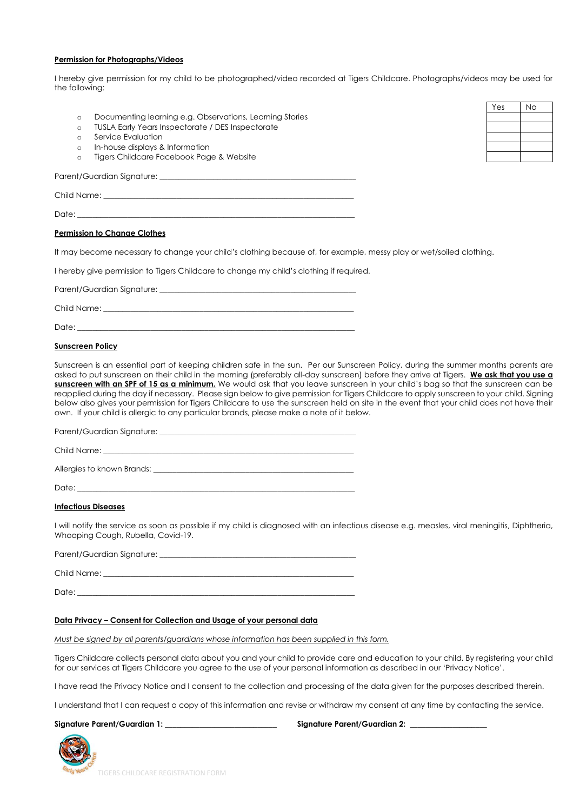## **Permission for Photographs/Videos**

I hereby give permission for my child to be photographed/video recorded at Tigers Childcare. Photographs/videos may be used for the following:

- o Documenting learning e.g. Observations, Learning Stories
- o TUSLA Early Years Inspectorate / DES Inspectorate
- o Service Evaluation
- o In-house displays & Information
- o Tigers Childcare Facebook Page & Website

Parent/Guardian Signature:

Child Name:

Date: \_\_\_\_\_\_\_\_\_\_\_\_\_\_\_\_\_\_\_\_\_\_\_\_\_\_\_\_\_\_\_\_\_\_\_\_\_\_\_\_\_\_\_\_\_\_\_\_\_\_\_\_\_\_\_\_\_\_\_\_\_\_\_\_\_\_\_\_\_\_\_\_

### **Permission to Change Clothes**

It may become necessary to change your child's clothing because of, for example, messy play or wet/soiled clothing.

I hereby give permission to Tigers Childcare to change my child's clothing if required.

Parent/Guardian Signature: \_\_\_\_\_\_\_\_\_\_\_\_\_\_\_\_\_\_\_\_\_\_\_\_\_\_\_\_\_\_\_\_\_\_\_\_\_\_\_\_\_\_\_\_\_\_\_\_\_\_\_

Child Name:

Date: \_\_\_\_\_\_\_\_\_\_\_\_\_\_\_\_\_\_\_\_\_\_\_\_\_\_\_\_\_\_\_\_\_\_\_\_\_\_\_\_\_\_\_\_\_\_\_\_\_\_\_\_\_\_\_\_\_\_\_\_\_\_\_\_\_\_\_\_\_\_\_\_

### **Sunscreen Policy**

Sunscreen is an essential part of keeping children safe in the sun. Per our Sunscreen Policy, during the summer months parents are asked to put sunscreen on their child in the morning (preferably all-day sunscreen) before they arrive at Tigers. **We ask that you use a sunscreen with an SPF of 15 as a minimum.** We would ask that you leave sunscreen in your child's bag so that the sunscreen can be reapplied during the day if necessary. Please sign below to give permission for Tigers Childcare to apply sunscreen to your child. Signing below also gives your permission for Tigers Childcare to use the sunscreen held on site in the event that your child does not have their own. If your child is allergic to any particular brands, please make a note of it below.

Parent/Guardian Signature: \_\_\_\_\_\_\_\_\_\_\_\_\_\_\_\_\_\_\_\_\_\_\_\_\_\_\_\_\_\_\_\_\_\_\_\_\_\_\_\_\_\_\_\_\_\_\_\_\_\_\_

Child Name:

Allergies to known Brands: \_\_\_\_\_\_\_\_\_\_\_\_\_\_\_\_\_\_\_\_\_\_\_\_\_\_\_\_\_\_\_\_\_\_\_\_\_\_\_\_\_\_\_\_\_\_\_\_\_\_\_\_

Date: \_\_\_\_\_\_\_\_\_\_\_\_\_\_\_\_\_\_\_\_\_\_\_\_\_\_\_\_\_\_\_\_\_\_\_\_\_\_\_\_\_\_\_\_\_\_\_\_\_\_\_\_\_\_\_\_\_\_\_\_\_\_\_\_\_\_\_\_\_\_\_\_

#### **Infectious Diseases**

I will notify the service as soon as possible if my child is diagnosed with an infectious disease e.g. measles, viral meningitis, Diphtheria, Whooping Cough, Rubella, Covid-19.

Parent/Guardian Signature: Child Name:

Date: \_\_\_\_\_\_\_\_\_\_\_\_\_\_\_\_\_\_\_\_\_\_\_\_\_\_\_\_\_\_\_\_\_\_\_\_\_\_\_\_\_\_\_\_\_\_\_\_\_\_\_\_\_\_\_\_\_\_\_\_\_\_\_\_\_\_\_\_\_\_\_\_

### **Data Privacy – Consent for Collection and Usage of your personal data**

*Must be signed by all parents/guardians whose information has been supplied in this form.*

Tigers Childcare collects personal data about you and your child to provide care and education to your child. By registering your child for our services at Tigers Childcare you agree to the use of your personal information as described in our 'Privacy Notice'.

I have read the Privacy Notice and I consent to the collection and processing of the data given for the purposes described therein.

I understand that I can request a copy of this information and revise or withdraw my consent at any time by contacting the service.

Signature Parent/Guardian 1: **We are also assumed to the Signature Parent/Guardian 2:** 



Yes | No

TIGERS CHILDCARE REGISTRATION FORM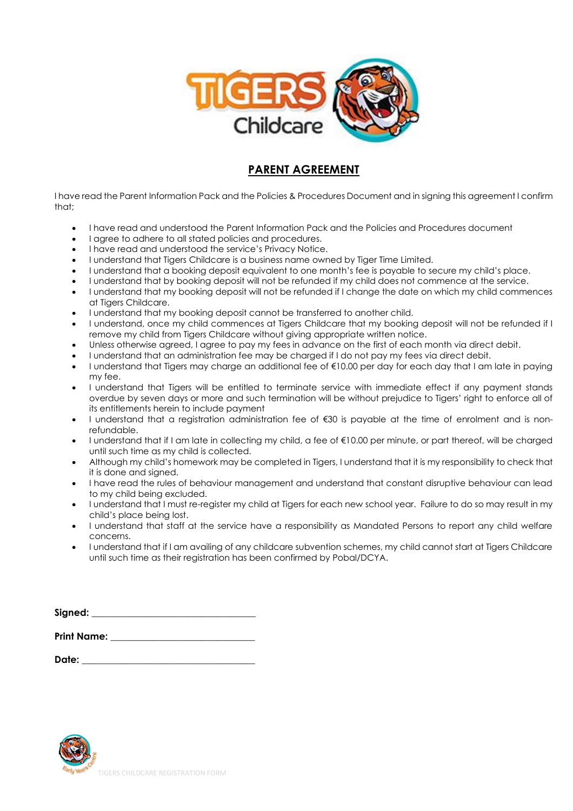

# **PARENT AGREEMENT**

I have read the Parent Information Pack and the Policies & Procedures Document and in signing this agreement I confirm that;

- I have read and understood the Parent Information Pack and the Policies and Procedures document
- I agree to adhere to all stated policies and procedures.
- I have read and understood the service's Privacy Notice.
- I understand that Tigers Childcare is a business name owned by Tiger Time Limited.
- I understand that a booking deposit equivalent to one month's fee is payable to secure my child's place.
- I understand that by booking deposit will not be refunded if my child does not commence at the service.
- I understand that my booking deposit will not be refunded if I change the date on which my child commences at Tigers Childcare.
- I understand that my booking deposit cannot be transferred to another child.
- I understand, once my child commences at Tigers Childcare that my booking deposit will not be refunded if I remove my child from Tigers Childcare without giving appropriate written notice.
- Unless otherwise agreed, I agree to pay my fees in advance on the first of each month via direct debit.
- I understand that an administration fee may be charged if I do not pay my fees via direct debit.
- I understand that Tigers may charge an additional fee of €10.00 per day for each day that I am late in paying my fee.
- I understand that Tigers will be entitled to terminate service with immediate effect if any payment stands overdue by seven days or more and such termination will be without prejudice to Tigers' right to enforce all of its entitlements herein to include payment
- I understand that a registration administration fee of €30 is payable at the time of enrolment and is nonrefundable.
- I understand that if I am late in collecting my child, a fee of €10.00 per minute, or part thereof, will be charged until such time as my child is collected.
- Although my child's homework may be completed in Tigers, I understand that it is my responsibility to check that it is done and signed.
- I have read the rules of behaviour management and understand that constant disruptive behaviour can lead to my child being excluded.
- I understand that I must re-register my child at Tigers for each new school year. Failure to do so may result in my child's place being lost.
- I understand that staff at the service have a responsibility as Mandated Persons to report any child welfare concerns.
- I understand that if I am availing of any childcare subvention schemes, my child cannot start at Tigers Childcare until such time as their registration has been confirmed by Pobal/DCYA.

| Signed: |  |  |  |
|---------|--|--|--|
|         |  |  |  |
|         |  |  |  |

**Print Name:**  $\blacksquare$ 

**Date: \_\_\_\_\_\_\_\_\_\_\_\_\_\_\_\_\_\_\_\_\_\_\_\_\_\_\_\_\_\_\_\_\_\_\_\_**